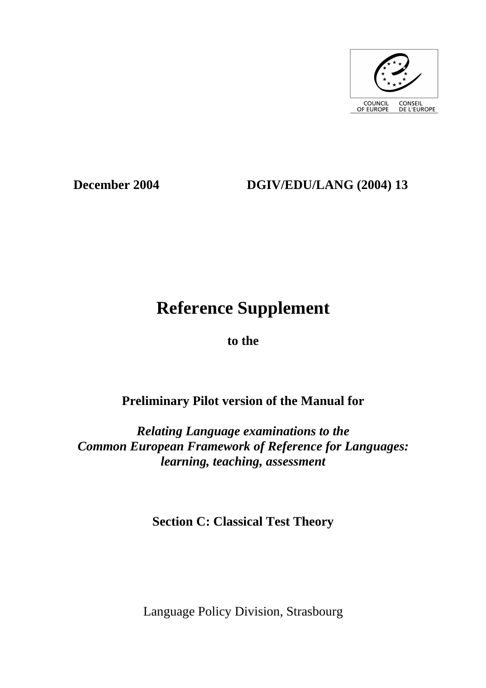

# **December 2004 DGIV/EDU/LANG (2004) 13**

# **Reference Supplement**

**to the** 

# **Preliminary Pilot version of the Manual for**

*Relating Language examinations to the Common European Framework of Reference for Languages: learning, teaching, assessment* 

**Section C: Classical Test Theory** 

Language Policy Division, Strasbourg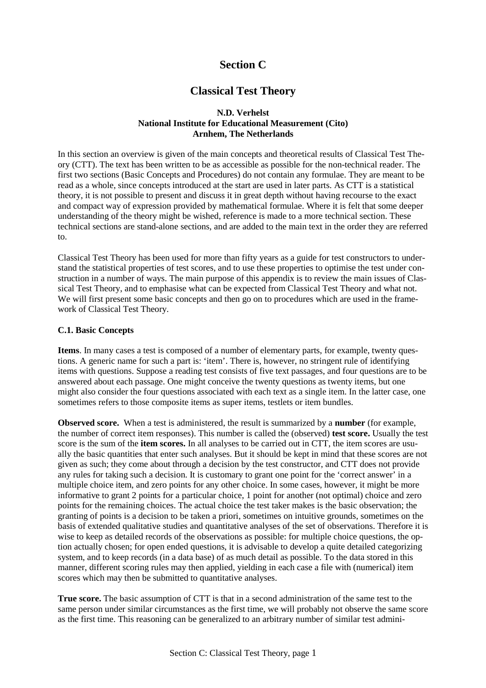## **Section C**

## **Classical Test Theory**

#### **N.D. Verhelst National Institute for Educational Measurement (Cito) Arnhem, The Netherlands**

In this section an overview is given of the main concepts and theoretical results of Classical Test Theory (CTT). The text has been written to be as accessible as possible for the non-technical reader. The first two sections (Basic Concepts and Procedures) do not contain any formulae. They are meant to be read as a whole, since concepts introduced at the start are used in later parts. As CTT is a statistical theory, it is not possible to present and discuss it in great depth without having recourse to the exact and compact way of expression provided by mathematical formulae. Where it is felt that some deeper understanding of the theory might be wished, reference is made to a more technical section. These technical sections are stand-alone sections, and are added to the main text in the order they are referred  $\mathbf{t}$ 

Classical Test Theory has been used for more than fifty years as a guide for test constructors to understand the statistical properties of test scores, and to use these properties to optimise the test under construction in a number of ways. The main purpose of this appendix is to review the main issues of Classical Test Theory, and to emphasise what can be expected from Classical Test Theory and what not. We will first present some basic concepts and then go on to procedures which are used in the framework of Classical Test Theory.

#### **C.1. Basic Concepts**

**Items**. In many cases a test is composed of a number of elementary parts, for example, twenty questions. A generic name for such a part is: 'item'. There is, however, no stringent rule of identifying items with questions. Suppose a reading test consists of five text passages, and four questions are to be answered about each passage. One might conceive the twenty questions as twenty items, but one might also consider the four questions associated with each text as a single item. In the latter case, one sometimes refers to those composite items as super items, testlets or item bundles.

**Observed score.** When a test is administered, the result is summarized by a **number** (for example, the number of correct item responses). This number is called the (observed) **test score.** Usually the test score is the sum of the **item scores.** In all analyses to be carried out in CTT, the item scores are usually the basic quantities that enter such analyses. But it should be kept in mind that these scores are not given as such; they come about through a decision by the test constructor, and CTT does not provide any rules for taking such a decision. It is customary to grant one point for the 'correct answer' in a multiple choice item, and zero points for any other choice. In some cases, however, it might be more informative to grant 2 points for a particular choice, 1 point for another (not optimal) choice and zero points for the remaining choices. The actual choice the test taker makes is the basic observation; the granting of points is a decision to be taken a priori, sometimes on intuitive grounds, sometimes on the basis of extended qualitative studies and quantitative analyses of the set of observations. Therefore it is wise to keep as detailed records of the observations as possible: for multiple choice questions, the option actually chosen; for open ended questions, it is advisable to develop a quite detailed categorizing system, and to keep records (in a data base) of as much detail as possible. To the data stored in this manner, different scoring rules may then applied, yielding in each case a file with (numerical) item scores which may then be submitted to quantitative analyses.

**True score.** The basic assumption of CTT is that in a second administration of the same test to the same person under similar circumstances as the first time, we will probably not observe the same score as the first time. This reasoning can be generalized to an arbitrary number of similar test admini-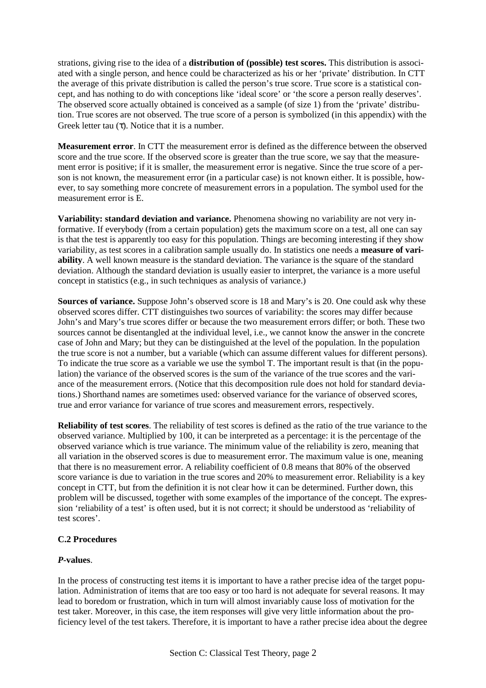strations, giving rise to the idea of a **distribution of (possible) test scores.** This distribution is associated with a single person, and hence could be characterized as his or her 'private' distribution. In CTT the average of this private distribution is called the person's true score. True score is a statistical concept, and has nothing to do with conceptions like 'ideal score' or 'the score a person really deserves'. The observed score actually obtained is conceived as a sample (of size 1) from the 'private' distribution. True scores are not observed. The true score of a person is symbolized (in this appendix) with the Greek letter tau  $(\tau)$ . Notice that it is a number.

**Measurement error**. In CTT the measurement error is defined as the difference between the observed score and the true score. If the observed score is greater than the true score, we say that the measurement error is positive; if it is smaller, the measurement error is negative. Since the true score of a person is not known, the measurement error (in a particular case) is not known either. It is possible, however, to say something more concrete of measurement errors in a population. The symbol used for the measurement error is E.

**Variability: standard deviation and variance.** Phenomena showing no variability are not very informative. If everybody (from a certain population) gets the maximum score on a test, all one can say is that the test is apparently too easy for this population. Things are becoming interesting if they show variability, as test scores in a calibration sample usually do. In statistics one needs a **measure of variability**. A well known measure is the standard deviation. The variance is the square of the standard deviation. Although the standard deviation is usually easier to interpret, the variance is a more useful concept in statistics (e.g., in such techniques as analysis of variance.)

**Sources of variance.** Suppose John's observed score is 18 and Mary's is 20. One could ask why these observed scores differ. CTT distinguishes two sources of variability: the scores may differ because John's and Mary's true scores differ or because the two measurement errors differ; or both. These two sources cannot be disentangled at the individual level, i.e., we cannot know the answer in the concrete case of John and Mary; but they can be distinguished at the level of the population. In the population the true score is not a number, but a variable (which can assume different values for different persons). To indicate the true score as a variable we use the symbol T. The important result is that (in the population) the variance of the observed scores is the sum of the variance of the true scores and the variance of the measurement errors. (Notice that this decomposition rule does not hold for standard deviations.) Shorthand names are sometimes used: observed variance for the variance of observed scores, true and error variance for variance of true scores and measurement errors, respectively.

**Reliability of test scores**. The reliability of test scores is defined as the ratio of the true variance to the observed variance. Multiplied by 100, it can be interpreted as a percentage: it is the percentage of the observed variance which is true variance. The minimum value of the reliability is zero, meaning that all variation in the observed scores is due to measurement error. The maximum value is one, meaning that there is no measurement error. A reliability coefficient of 0.8 means that 80% of the observed score variance is due to variation in the true scores and 20% to measurement error. Reliability is a key concept in CTT, but from the definition it is not clear how it can be determined. Further down, this problem will be discussed, together with some examples of the importance of the concept. The expression 'reliability of a test' is often used, but it is not correct; it should be understood as 'reliability of test scores'.

#### **C.2 Procedures**

#### *P***-values**.

In the process of constructing test items it is important to have a rather precise idea of the target population. Administration of items that are too easy or too hard is not adequate for several reasons. It may lead to boredom or frustration, which in turn will almost invariably cause loss of motivation for the test taker. Moreover, in this case, the item responses will give very little information about the proficiency level of the test takers. Therefore, it is important to have a rather precise idea about the degree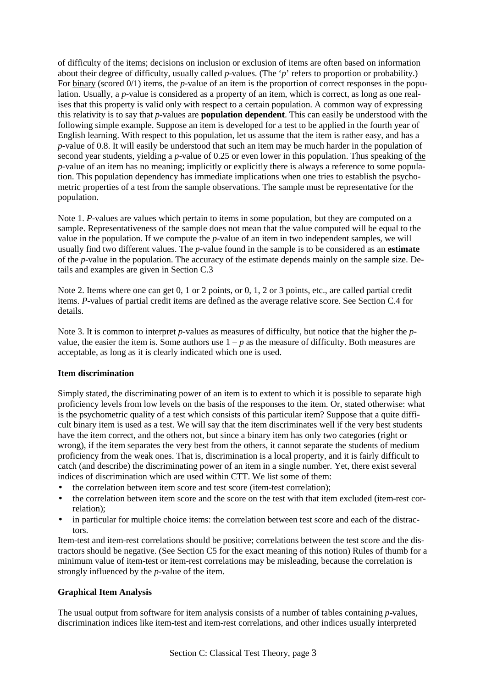of difficulty of the items; decisions on inclusion or exclusion of items are often based on information about their degree of difficulty, usually called *p*-values. (The '*p*' refers to proportion or probability.) For binary (scored 0/1) items, the *p*-value of an item is the proportion of correct responses in the population. Usually, a *p*-value is considered as a property of an item, which is correct, as long as one realises that this property is valid only with respect to a certain population. A common way of expressing this relativity is to say that *p*-values are **population dependent**. This can easily be understood with the following simple example. Suppose an item is developed for a test to be applied in the fourth year of English learning. With respect to this population, let us assume that the item is rather easy, and has a *p*-value of 0.8. It will easily be understood that such an item may be much harder in the population of second year students, yielding a *p*-value of 0.25 or even lower in this population. Thus speaking of the *p*-value of an item has no meaning; implicitly or explicitly there is always a reference to some population. This population dependency has immediate implications when one tries to establish the psychometric properties of a test from the sample observations. The sample must be representative for the population.

Note 1. *P*-values are values which pertain to items in some population, but they are computed on a sample. Representativeness of the sample does not mean that the value computed will be equal to the value in the population. If we compute the *p*-value of an item in two independent samples, we will usually find two different values. The *p*-value found in the sample is to be considered as an **estimate** of the *p*-value in the population. The accuracy of the estimate depends mainly on the sample size. Details and examples are given in Section C.3

Note 2. Items where one can get 0, 1 or 2 points, or 0, 1, 2 or 3 points, etc., are called partial credit items. *P*-values of partial credit items are defined as the average relative score. See Section C.4 for details.

Note 3. It is common to interpret *p*-values as measures of difficulty, but notice that the higher the *p*value, the easier the item is. Some authors use  $1 - p$  as the measure of difficulty. Both measures are acceptable, as long as it is clearly indicated which one is used.

#### **Item discrimination**

Simply stated, the discriminating power of an item is to extent to which it is possible to separate high proficiency levels from low levels on the basis of the responses to the item. Or, stated otherwise: what is the psychometric quality of a test which consists of this particular item? Suppose that a quite difficult binary item is used as a test. We will say that the item discriminates well if the very best students have the item correct, and the others not, but since a binary item has only two categories (right or wrong), if the item separates the very best from the others, it cannot separate the students of medium proficiency from the weak ones. That is, discrimination is a local property, and it is fairly difficult to catch (and describe) the discriminating power of an item in a single number. Yet, there exist several indices of discrimination which are used within CTT. We list some of them:

- the correlation between item score and test score (item-test correlation);
- the correlation between item score and the score on the test with that item excluded (item-rest correlation);
- in particular for multiple choice items: the correlation between test score and each of the distractors.

Item-test and item-rest correlations should be positive; correlations between the test score and the distractors should be negative. (See Section C5 for the exact meaning of this notion) Rules of thumb for a minimum value of item-test or item-rest correlations may be misleading, because the correlation is strongly influenced by the *p*-value of the item.

#### **Graphical Item Analysis**

The usual output from software for item analysis consists of a number of tables containing *p*-values, discrimination indices like item-test and item-rest correlations, and other indices usually interpreted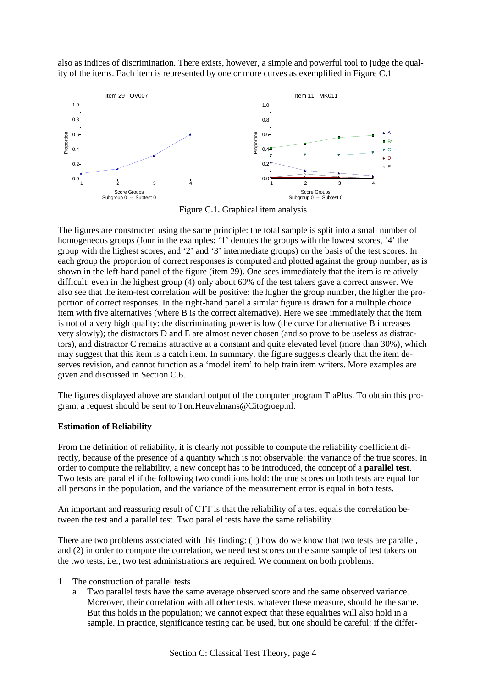also as indices of discrimination. There exists, however, a simple and powerful tool to judge the quality of the items. Each item is represented by one or more curves as exemplified in Figure C.1



Figure C.1. Graphical item analysis

The figures are constructed using the same principle: the total sample is split into a small number of homogeneous groups (four in the examples; '1' denotes the groups with the lowest scores, '4' the group with the highest scores, and '2' and '3' intermediate groups) on the basis of the test scores. In each group the proportion of correct responses is computed and plotted against the group number, as is shown in the left-hand panel of the figure (item 29). One sees immediately that the item is relatively difficult: even in the highest group (4) only about 60% of the test takers gave a correct answer. We also see that the item-test correlation will be positive: the higher the group number, the higher the proportion of correct responses. In the right-hand panel a similar figure is drawn for a multiple choice item with five alternatives (where B is the correct alternative). Here we see immediately that the item is not of a very high quality: the discriminating power is low (the curve for alternative B increases very slowly); the distractors D and E are almost never chosen (and so prove to be useless as distractors), and distractor C remains attractive at a constant and quite elevated level (more than 30%), which may suggest that this item is a catch item. In summary, the figure suggests clearly that the item deserves revision, and cannot function as a 'model item' to help train item writers. More examples are given and discussed in Section C.6.

The figures displayed above are standard output of the computer program TiaPlus. To obtain this program, a request should be sent to Ton.Heuvelmans@Citogroep.nl.

#### **Estimation of Reliability**

From the definition of reliability, it is clearly not possible to compute the reliability coefficient directly, because of the presence of a quantity which is not observable: the variance of the true scores. In order to compute the reliability, a new concept has to be introduced, the concept of a **parallel test**. Two tests are parallel if the following two conditions hold: the true scores on both tests are equal for all persons in the population, and the variance of the measurement error is equal in both tests.

An important and reassuring result of CTT is that the reliability of a test equals the correlation between the test and a parallel test. Two parallel tests have the same reliability.

There are two problems associated with this finding: (1) how do we know that two tests are parallel, and (2) in order to compute the correlation, we need test scores on the same sample of test takers on the two tests, i.e., two test administrations are required. We comment on both problems.

- 1 The construction of parallel tests
	- a Two parallel tests have the same average observed score and the same observed variance. Moreover, their correlation with all other tests, whatever these measure, should be the same. But this holds in the population; we cannot expect that these equalities will also hold in a sample. In practice, significance testing can be used, but one should be careful: if the differ-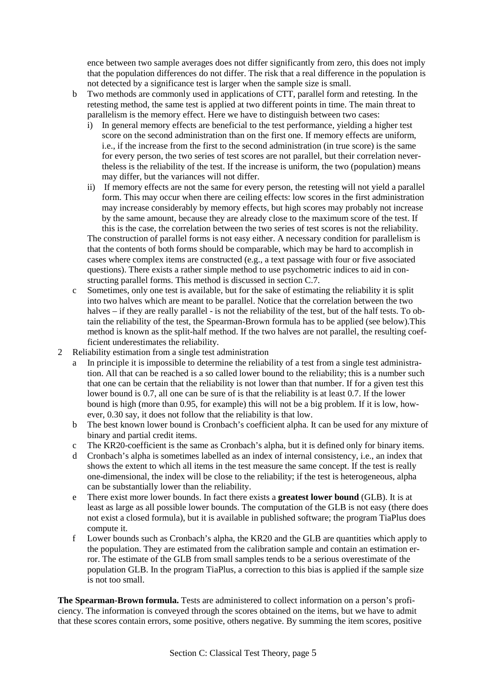ence between two sample averages does not differ significantly from zero, this does not imply that the population differences do not differ. The risk that a real difference in the population is not detected by a significance test is larger when the sample size is small.

- b Two methods are commonly used in applications of CTT, parallel form and retesting. In the retesting method, the same test is applied at two different points in time. The main threat to parallelism is the memory effect. Here we have to distinguish between two cases:
	- i) In general memory effects are beneficial to the test performance, yielding a higher test score on the second administration than on the first one. If memory effects are uniform, i.e., if the increase from the first to the second administration (in true score) is the same for every person, the two series of test scores are not parallel, but their correlation nevertheless is the reliability of the test. If the increase is uniform, the two (population) means may differ, but the variances will not differ.
	- ii) If memory effects are not the same for every person, the retesting will not yield a parallel form. This may occur when there are ceiling effects: low scores in the first administration may increase considerably by memory effects, but high scores may probably not increase by the same amount, because they are already close to the maximum score of the test. If this is the case, the correlation between the two series of test scores is not the reliability.

The construction of parallel forms is not easy either. A necessary condition for parallelism is that the contents of both forms should be comparable, which may be hard to accomplish in cases where complex items are constructed (e.g., a text passage with four or five associated questions). There exists a rather simple method to use psychometric indices to aid in constructing parallel forms. This method is discussed in section C.7.

- c Sometimes, only one test is available, but for the sake of estimating the reliability it is split into two halves which are meant to be parallel. Notice that the correlation between the two halves – if they are really parallel - is not the reliability of the test, but of the half tests. To obtain the reliability of the test, the Spearman-Brown formula has to be applied (see below).This method is known as the split-half method. If the two halves are not parallel, the resulting coefficient underestimates the reliability.
- 2 Reliability estimation from a single test administration
	- a In principle it is impossible to determine the reliability of a test from a single test administration. All that can be reached is a so called lower bound to the reliability; this is a number such that one can be certain that the reliability is not lower than that number. If for a given test this lower bound is 0.7, all one can be sure of is that the reliability is at least 0.7. If the lower bound is high (more than 0.95, for example) this will not be a big problem. If it is low, however, 0.30 say, it does not follow that the reliability is that low.
	- b The best known lower bound is Cronbach's coefficient alpha. It can be used for any mixture of binary and partial credit items.
	- c The KR20-coefficient is the same as Cronbach's alpha, but it is defined only for binary items.
	- d Cronbach's alpha is sometimes labelled as an index of internal consistency, i.e., an index that shows the extent to which all items in the test measure the same concept. If the test is really one-dimensional, the index will be close to the reliability; if the test is heterogeneous, alpha can be substantially lower than the reliability.
	- e There exist more lower bounds. In fact there exists a **greatest lower bound** (GLB). It is at least as large as all possible lower bounds. The computation of the GLB is not easy (there does not exist a closed formula), but it is available in published software; the program TiaPlus does compute it.
	- f Lower bounds such as Cronbach's alpha, the KR20 and the GLB are quantities which apply to the population. They are estimated from the calibration sample and contain an estimation error. The estimate of the GLB from small samples tends to be a serious overestimate of the population GLB. In the program TiaPlus, a correction to this bias is applied if the sample size is not too small.

**The Spearman-Brown formula.** Tests are administered to collect information on a person's proficiency. The information is conveyed through the scores obtained on the items, but we have to admit that these scores contain errors, some positive, others negative. By summing the item scores, positive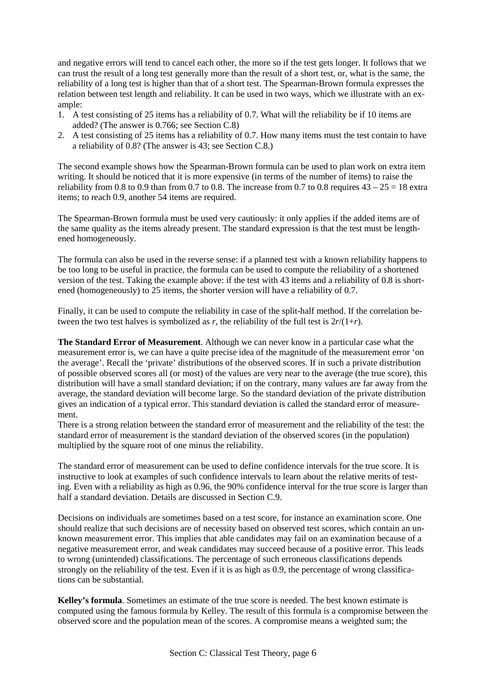and negative errors will tend to cancel each other, the more so if the test gets longer. It follows that we can trust the result of a long test generally more than the result of a short test, or, what is the same, the reliability of a long test is higher than that of a short test. The Spearman-Brown formula expresses the relation between test length and reliability. It can be used in two ways, which we illustrate with an example:

- 1. A test consisting of 25 items has a reliability of 0.7. What will the reliability be if 10 items are added? (The answer is 0.766; see Section C.8)
- 2. A test consisting of 25 items has a reliability of 0.7. How many items must the test contain to have a reliability of 0.8? (The answer is 43; see Section C.8.)

The second example shows how the Spearman-Brown formula can be used to plan work on extra item writing. It should be noticed that it is more expensive (in terms of the number of items) to raise the reliability from 0.8 to 0.9 than from 0.7 to 0.8. The increase from 0.7 to 0.8 requires  $43 - 25 = 18$  extra items; to reach 0.9, another 54 items are required.

The Spearman-Brown formula must be used very cautiously: it only applies if the added items are of the same quality as the items already present. The standard expression is that the test must be lengthened homogeneously.

The formula can also be used in the reverse sense: if a planned test with a known reliability happens to be too long to be useful in practice, the formula can be used to compute the reliability of a shortened version of the test. Taking the example above: if the test with 43 items and a reliability of 0.8 is shortened (homogeneously) to 25 items, the shorter version will have a reliability of 0.7.

Finally, it can be used to compute the reliability in case of the split-half method. If the correlation between the two test halves is symbolized as *r*, the reliability of the full test is  $2r/(1+r)$ .

**The Standard Error of Measurement**. Although we can never know in a particular case what the measurement error is, we can have a quite precise idea of the magnitude of the measurement error 'on the average'. Recall the 'private' distributions of the observed scores. If in such a private distribution of possible observed scores all (or most) of the values are very near to the average (the true score), this distribution will have a small standard deviation; if on the contrary, many values are far away from the average, the standard deviation will become large. So the standard deviation of the private distribution gives an indication of a typical error. This standard deviation is called the standard error of measurement.

There is a strong relation between the standard error of measurement and the reliability of the test: the standard error of measurement is the standard deviation of the observed scores (in the population) multiplied by the square root of one minus the reliability.

The standard error of measurement can be used to define confidence intervals for the true score. It is instructive to look at examples of such confidence intervals to learn about the relative merits of testing. Even with a reliability as high as 0.96, the 90% confidence interval for the true score is larger than half a standard deviation. Details are discussed in Section C.9.

Decisions on individuals are sometimes based on a test score, for instance an examination score. One should realize that such decisions are of necessity based on observed test scores, which contain an unknown measurement error. This implies that able candidates may fail on an examination because of a negative measurement error, and weak candidates may succeed because of a positive error. This leads to wrong (unintended) classifications. The percentage of such erroneous classifications depends strongly on the reliability of the test. Even if it is as high as 0.9, the percentage of wrong classifications can be substantial.

**Kelley's formula**. Sometimes an estimate of the true score is needed. The best known estimate is computed using the famous formula by Kelley. The result of this formula is a compromise between the observed score and the population mean of the scores. A compromise means a weighted sum; the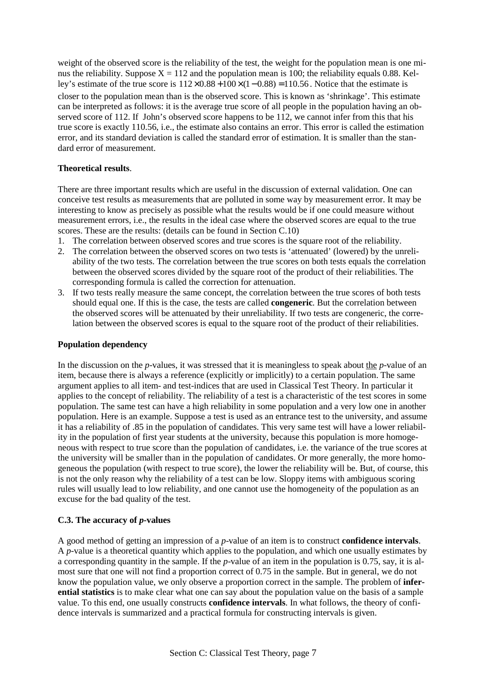weight of the observed score is the reliability of the test, the weight for the population mean is one minus the reliability. Suppose  $X = 112$  and the population mean is 100; the reliability equals 0.88. Kelley's estimate of the true score is  $112 \times 0.88 + 100 \times (1 - 0.88) = 110.56$ . Notice that the estimate is closer to the population mean than is the observed score. This is known as 'shrinkage'. This estimate can be interpreted as follows: it is the average true score of all people in the population having an observed score of 112. If John's observed score happens to be 112, we cannot infer from this that his true score is exactly 110.56, i.e., the estimate also contains an error. This error is called the estimation error, and its standard deviation is called the standard error of estimation. It is smaller than the standard error of measurement.

#### **Theoretical results**.

There are three important results which are useful in the discussion of external validation. One can conceive test results as measurements that are polluted in some way by measurement error. It may be interesting to know as precisely as possible what the results would be if one could measure without measurement errors, i.e., the results in the ideal case where the observed scores are equal to the true scores. These are the results: (details can be found in Section C.10)

- 1. The correlation between observed scores and true scores is the square root of the reliability.
- 2. The correlation between the observed scores on two tests is 'attenuated' (lowered) by the unreliability of the two tests. The correlation between the true scores on both tests equals the correlation between the observed scores divided by the square root of the product of their reliabilities. The corresponding formula is called the correction for attenuation.
- 3. If two tests really measure the same concept, the correlation between the true scores of both tests should equal one. If this is the case, the tests are called **congeneric**. But the correlation between the observed scores will be attenuated by their unreliability. If two tests are congeneric, the correlation between the observed scores is equal to the square root of the product of their reliabilities.

#### **Population dependency**

In the discussion on the *p*-values, it was stressed that it is meaningless to speak about the *p*-value of an item, because there is always a reference (explicitly or implicitly) to a certain population. The same argument applies to all item- and test-indices that are used in Classical Test Theory. In particular it applies to the concept of reliability. The reliability of a test is a characteristic of the test scores in some population. The same test can have a high reliability in some population and a very low one in another population. Here is an example. Suppose a test is used as an entrance test to the university, and assume it has a reliability of .85 in the population of candidates. This very same test will have a lower reliability in the population of first year students at the university, because this population is more homogeneous with respect to true score than the population of candidates, i.e. the variance of the true scores at the university will be smaller than in the population of candidates. Or more generally, the more homogeneous the population (with respect to true score), the lower the reliability will be. But, of course, this is not the only reason why the reliability of a test can be low. Sloppy items with ambiguous scoring rules will usually lead to low reliability, and one cannot use the homogeneity of the population as an excuse for the bad quality of the test.

#### **C.3. The accuracy of** *p***-values**

A good method of getting an impression of a *p*-value of an item is to construct **confidence intervals**. A *p*-value is a theoretical quantity which applies to the population, and which one usually estimates by a corresponding quantity in the sample. If the *p*-value of an item in the population is 0.75, say, it is almost sure that one will not find a proportion correct of 0.75 in the sample. But in general, we do not know the population value, we only observe a proportion correct in the sample. The problem of **inferential statistics** is to make clear what one can say about the population value on the basis of a sample value. To this end, one usually constructs **confidence intervals**. In what follows, the theory of confidence intervals is summarized and a practical formula for constructing intervals is given.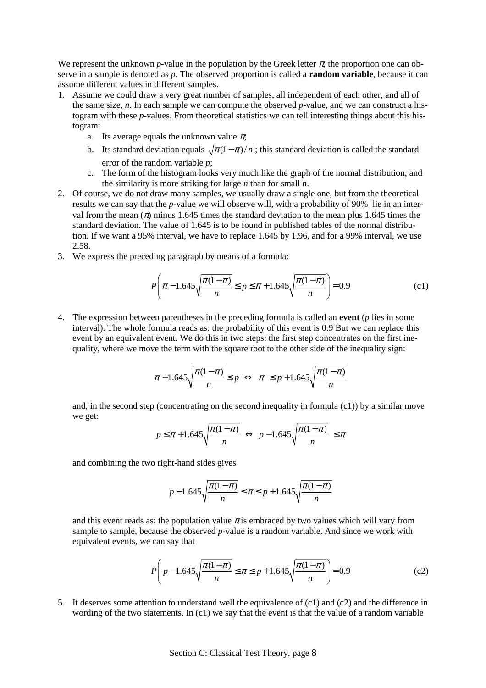We represent the unknown *p*-value in the population by the Greek letter  $\pi$ , the proportion one can observe in a sample is denoted as *p*. The observed proportion is called a **random variable**, because it can assume different values in different samples.

- 1. Assume we could draw a very great number of samples, all independent of each other, and all of the same size, *n*. In each sample we can compute the observed *p*-value, and we can construct a histogram with these *p*-values. From theoretical statistics we can tell interesting things about this histogram:
	- a. Its average equals the unknown value  $\pi$ ;
	- b. Its standard deviation equals  $\sqrt{\pi(1-\pi)/n}$ ; this standard deviation is called the standard error of the random variable *p*;
	- c. The form of the histogram looks very much like the graph of the normal distribution, and the similarity is more striking for large *n* than for small *n*.
- 2. Of course, we do not draw many samples, we usually draw a single one, but from the theoretical results we can say that the *p*-value we will observe will, with a probability of 90% lie in an interval from the mean ( $\pi$ ) minus 1.645 times the standard deviation to the mean plus 1.645 times the standard deviation. The value of 1.645 is to be found in published tables of the normal distribution. If we want a 95% interval, we have to replace 1.645 by 1.96, and for a 99% interval, we use 2.58.
- 3. We express the preceding paragraph by means of a formula:

$$
P\left(\pi - 1.645\sqrt{\frac{\pi(1-\pi)}{n}} \le p \le \pi + 1.645\sqrt{\frac{\pi(1-\pi)}{n}}\right) = 0.9\tag{c1}
$$

4. The expression between parentheses in the preceding formula is called an **event** (*p* lies in some interval). The whole formula reads as: the probability of this event is 0.9 But we can replace this event by an equivalent event. We do this in two steps: the first step concentrates on the first inequality, where we move the term with the square root to the other side of the inequality sign:

$$
\pi - 1.645\sqrt{\frac{\pi(1-\pi)}{n}} \le p \iff \pi \le p + 1.645\sqrt{\frac{\pi(1-\pi)}{n}}
$$

and, in the second step (concentrating on the second inequality in formula (c1)) by a similar move we get:

$$
p \le \pi + 1.645\sqrt{\frac{\pi(1-\pi)}{n}} \iff p - 1.645\sqrt{\frac{\pi(1-\pi)}{n}} \le \pi
$$

and combining the two right-hand sides gives

$$
p - 1.645\sqrt{\frac{\pi(1-\pi)}{n}} \le \pi \le p + 1.645\sqrt{\frac{\pi(1-\pi)}{n}}
$$

and this event reads as: the population value  $\pi$  is embraced by two values which will vary from sample to sample, because the observed *p*-value is a random variable. And since we work with equivalent events, we can say that

$$
P\left(p - 1.645\sqrt{\frac{\pi(1-\pi)}{n}} \le \pi \le p + 1.645\sqrt{\frac{\pi(1-\pi)}{n}}\right) = 0.9\tag{c2}
$$

5. It deserves some attention to understand well the equivalence of (c1) and (c2) and the difference in wording of the two statements. In (c1) we say that the event is that the value of a random variable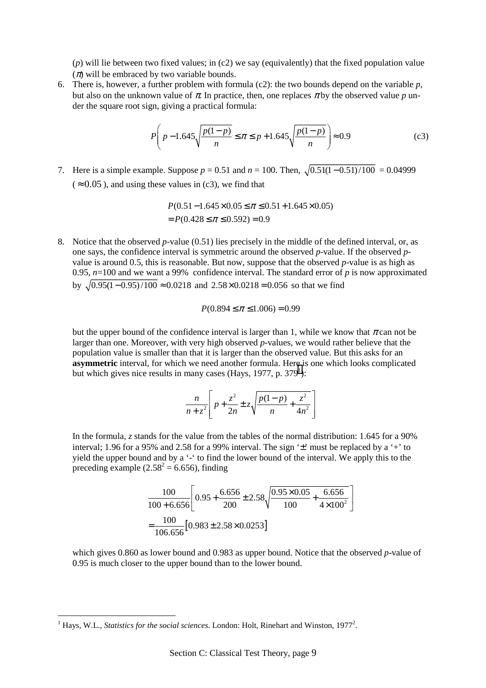(*p*) will lie between two fixed values; in (c2) we say (equivalently) that the fixed population value  $(\pi)$  will be embraced by two variable bounds.

6. There is, however, a further problem with formula (c2): the two bounds depend on the variable *p*, but also on the unknown value of  $\pi$ . In practice, then, one replaces  $\pi$  by the observed value  $p$  under the square root sign, giving a practical formula:

$$
P\left(p - 1.645\sqrt{\frac{p(1-p)}{n}} \le \pi \le p + 1.645\sqrt{\frac{p(1-p)}{n}}\right) \approx 0.9\tag{c3}
$$

7. Here is a simple example. Suppose  $p = 0.51$  and  $n = 100$ . Then,  $\sqrt{0.51(1 - 0.51)/100} = 0.04999$  $( $\approx 0.05$ )$ , and using these values in (c3), we find that

$$
P(0.51 - 1.645 \times 0.05 \le \pi \le 0.51 + 1.645 \times 0.05)
$$
  
=  $P(0.428 \le \pi \le 0.592) = 0.9$ 

8. Notice that the observed *p*-value (0.51) lies precisely in the middle of the defined interval, or, as one says, the confidence interval is symmetric around the observed *p*-value. If the observed *p*value is around 0.5, this is reasonable. But now, suppose that the observed *p*-value is as high as 0.95,  $n=100$  and we want a 99% confidence interval. The standard error of  $p$  is now approximated by  $\sqrt{(0.95(1 - 0.95) / 100} \approx 0.0218$  and  $2.58 \times 0.0218 = 0.056$  so that we find

$$
P(0.894 \le \pi \le 1.006) = 0.99
$$

but the upper bound of the confidence interval is larger than 1, while we know that  $\pi$  can not be larger than one. Moreover, with very high observed *p*-values, we would rather believe that the population value is smaller than that it is larger than the observed value. But this asks for an **asymmetric** interval, for which we need another formula. Here is one which looks complicated but which gives nice results in many cases (Hays, 1977, p.  $379<sup>1</sup>$ ):

$$
\frac{n}{n+z^2}\left[p+\frac{z^2}{2n}\pm z\sqrt{\frac{p(1-p)}{n}+\frac{z^2}{4n^2}}\right]
$$

In the formula, *z* stands for the value from the tables of the normal distribution: 1.645 for a 90% interval; 1.96 for a 95% and 2.58 for a 99% interval. The sign '±' must be replaced by a '+' to yield the upper bound and by a '-' to find the lower bound of the interval. We apply this to the preceding example  $(2.58^2 = 6.656)$ , finding

$$
\frac{100}{100+6.656} \left[ 0.95 + \frac{6.656}{200} \pm 2.58 \sqrt{\frac{0.95 \times 0.05}{100} + \frac{6.656}{4 \times 100^2}} \right]
$$
  
= 
$$
\frac{100}{106.656} [0.983 \pm 2.58 \times 0.0253]
$$

which gives 0.860 as lower bound and 0.983 as upper bound. Notice that the observed *p*-value of 0.95 is much closer to the upper bound than to the lower bound.

 $\overline{a}$ 

 $<sup>1</sup>$  Hays, W.L., *Statistics for the social sciences*. London: Holt, Rinehart and Winston, 1977<sup>2</sup>.</sup>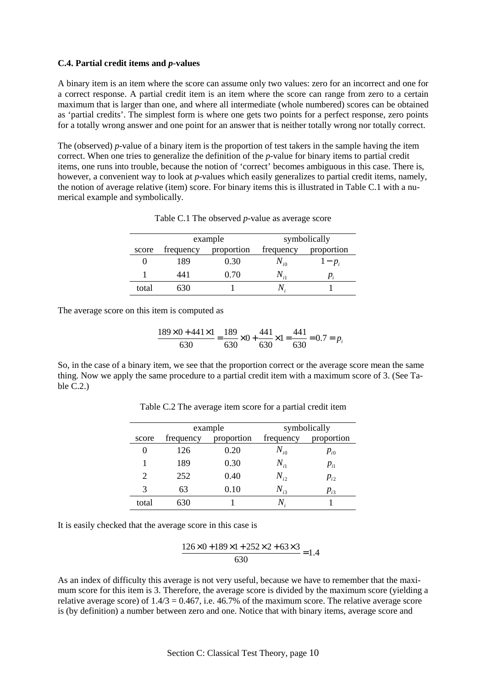#### **C.4. Partial credit items and** *p***-values**

A binary item is an item where the score can assume only two values: zero for an incorrect and one for a correct response. A partial credit item is an item where the score can range from zero to a certain maximum that is larger than one, and where all intermediate (whole numbered) scores can be obtained as 'partial credits'. The simplest form is where one gets two points for a perfect response, zero points for a totally wrong answer and one point for an answer that is neither totally wrong nor totally correct.

The (observed) *p*-value of a binary item is the proportion of test takers in the sample having the item correct. When one tries to generalize the definition of the *p*-value for binary items to partial credit items, one runs into trouble, because the notion of 'correct' becomes ambiguous in this case. There is, however, a convenient way to look at *p*-values which easily generalizes to partial credit items, namely, the notion of average relative (item) score. For binary items this is illustrated in Table C.1 with a numerical example and symbolically.

|       | example   |            | symbolically                |                            |
|-------|-----------|------------|-----------------------------|----------------------------|
| score | frequency | proportion | frequency                   | proportion                 |
|       | 189       | 0.30       | $N_{i0}$                    | $1-p_i$                    |
|       | 441       | 0.70       | $N_{\scriptscriptstyle i1}$ | $p_{\scriptscriptstyle i}$ |
| total |           |            |                             |                            |

Table C.1 The observed *p*-value as average score

The average score on this item is computed as

$$
\frac{189 \times 0 + 441 \times 1}{630} = \frac{189}{630} \times 0 + \frac{441}{630} \times 1 = \frac{441}{630} = 0.7 = p_i
$$

So, in the case of a binary item, we see that the proportion correct or the average score mean the same thing. Now we apply the same procedure to a partial credit item with a maximum score of 3. (See Table C.2.)

|       | example   |            | symbolically |            |
|-------|-----------|------------|--------------|------------|
| score | frequency | proportion | frequency    | proportion |
|       | 126       | 0.20       | $N_{i0}$     | $p_{i0}$   |
|       | 189       | 0.30       | $N_{i1}$     | $P_{i1}$   |
| 2     | 252       | 0.40       | $N_{i2}$     | $p_{i2}$   |
| 3     | 63        | 0.10       | $N_{i3}$     | $p_{i3}$   |
| total | 630       |            | Ν            |            |

Table C.2 The average item score for a partial credit item

It is easily checked that the average score in this case is

$$
\frac{126 \times 0 + 189 \times 1 + 252 \times 2 + 63 \times 3}{630} = 1.4
$$

As an index of difficulty this average is not very useful, because we have to remember that the maximum score for this item is 3. Therefore, the average score is divided by the maximum score (yielding a relative average score) of  $1.4/3 = 0.467$ , i.e. 46.7% of the maximum score. The relative average score is (by definition) a number between zero and one. Notice that with binary items, average score and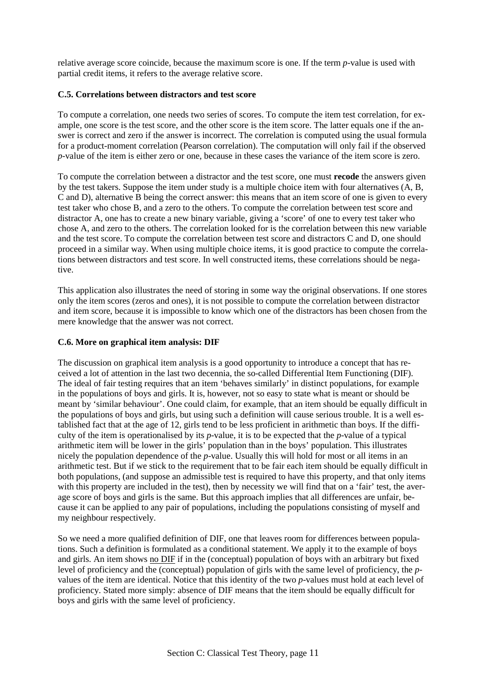relative average score coincide, because the maximum score is one. If the term *p*-value is used with partial credit items, it refers to the average relative score.

#### **C.5. Correlations between distractors and test score**

To compute a correlation, one needs two series of scores. To compute the item test correlation, for example, one score is the test score, and the other score is the item score. The latter equals one if the answer is correct and zero if the answer is incorrect. The correlation is computed using the usual formula for a product-moment correlation (Pearson correlation). The computation will only fail if the observed *p*-value of the item is either zero or one, because in these cases the variance of the item score is zero.

To compute the correlation between a distractor and the test score, one must **recode** the answers given by the test takers. Suppose the item under study is a multiple choice item with four alternatives (A, B, C and D), alternative B being the correct answer: this means that an item score of one is given to every test taker who chose B, and a zero to the others. To compute the correlation between test score and distractor A, one has to create a new binary variable, giving a 'score' of one to every test taker who chose A, and zero to the others. The correlation looked for is the correlation between this new variable and the test score. To compute the correlation between test score and distractors C and D, one should proceed in a similar way. When using multiple choice items, it is good practice to compute the correlations between distractors and test score. In well constructed items, these correlations should be negative.

This application also illustrates the need of storing in some way the original observations. If one stores only the item scores (zeros and ones), it is not possible to compute the correlation between distractor and item score, because it is impossible to know which one of the distractors has been chosen from the mere knowledge that the answer was not correct.

#### **C.6. More on graphical item analysis: DIF**

The discussion on graphical item analysis is a good opportunity to introduce a concept that has received a lot of attention in the last two decennia, the so-called Differential Item Functioning (DIF). The ideal of fair testing requires that an item 'behaves similarly' in distinct populations, for example in the populations of boys and girls. It is, however, not so easy to state what is meant or should be meant by 'similar behaviour'. One could claim, for example, that an item should be equally difficult in the populations of boys and girls, but using such a definition will cause serious trouble. It is a well established fact that at the age of 12, girls tend to be less proficient in arithmetic than boys. If the difficulty of the item is operationalised by its *p*-value, it is to be expected that the *p*-value of a typical arithmetic item will be lower in the girls' population than in the boys' population. This illustrates nicely the population dependence of the *p*-value. Usually this will hold for most or all items in an arithmetic test. But if we stick to the requirement that to be fair each item should be equally difficult in both populations, (and suppose an admissible test is required to have this property, and that only items with this property are included in the test), then by necessity we will find that on a 'fair' test, the average score of boys and girls is the same. But this approach implies that all differences are unfair, because it can be applied to any pair of populations, including the populations consisting of myself and my neighbour respectively.

So we need a more qualified definition of DIF, one that leaves room for differences between populations. Such a definition is formulated as a conditional statement. We apply it to the example of boys and girls. An item shows no DIF if in the (conceptual) population of boys with an arbitrary but fixed level of proficiency and the (conceptual) population of girls with the same level of proficiency, the *p*values of the item are identical. Notice that this identity of the two *p*-values must hold at each level of proficiency. Stated more simply: absence of DIF means that the item should be equally difficult for boys and girls with the same level of proficiency.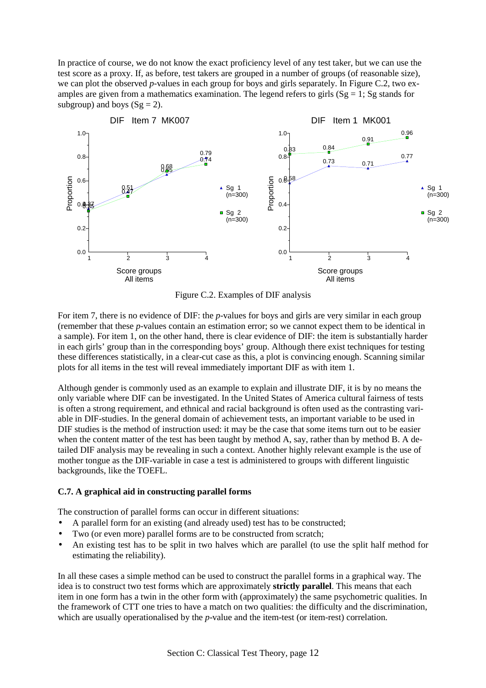In practice of course, we do not know the exact proficiency level of any test taker, but we can use the test score as a proxy. If, as before, test takers are grouped in a number of groups (of reasonable size), we can plot the observed *p*-values in each group for boys and girls separately. In Figure C.2, two examples are given from a mathematics examination. The legend refers to girls  $(Sg = 1; Sg$  stands for subgroup) and boys  $(Sg = 2)$ .



Figure C.2. Examples of DIF analysis

For item 7, there is no evidence of DIF: the *p*-values for boys and girls are very similar in each group (remember that these *p*-values contain an estimation error; so we cannot expect them to be identical in a sample). For item 1, on the other hand, there is clear evidence of DIF: the item is substantially harder in each girls' group than in the corresponding boys' group. Although there exist techniques for testing these differences statistically, in a clear-cut case as this, a plot is convincing enough. Scanning similar plots for all items in the test will reveal immediately important DIF as with item 1.

Although gender is commonly used as an example to explain and illustrate DIF, it is by no means the only variable where DIF can be investigated. In the United States of America cultural fairness of tests is often a strong requirement, and ethnical and racial background is often used as the contrasting variable in DIF-studies. In the general domain of achievement tests, an important variable to be used in DIF studies is the method of instruction used: it may be the case that some items turn out to be easier when the content matter of the test has been taught by method A, say, rather than by method B. A detailed DIF analysis may be revealing in such a context. Another highly relevant example is the use of mother tongue as the DIF-variable in case a test is administered to groups with different linguistic backgrounds, like the TOEFL.

#### **C.7. A graphical aid in constructing parallel forms**

The construction of parallel forms can occur in different situations:

- A parallel form for an existing (and already used) test has to be constructed;
- Two (or even more) parallel forms are to be constructed from scratch;
- An existing test has to be split in two halves which are parallel (to use the split half method for estimating the reliability).

In all these cases a simple method can be used to construct the parallel forms in a graphical way. The idea is to construct two test forms which are approximately **strictly parallel**. This means that each item in one form has a twin in the other form with (approximately) the same psychometric qualities. In the framework of CTT one tries to have a match on two qualities: the difficulty and the discrimination, which are usually operationalised by the *p*-value and the item-test (or item-rest) correlation.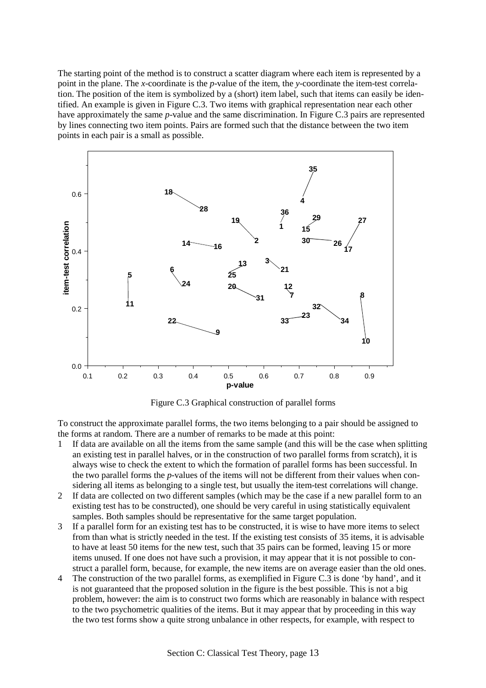The starting point of the method is to construct a scatter diagram where each item is represented by a point in the plane. The *x*-coordinate is the *p*-value of the item, the *y*-coordinate the item-test correlation. The position of the item is symbolized by a (short) item label, such that items can easily be identified. An example is given in Figure C.3. Two items with graphical representation near each other have approximately the same *p*-value and the same discrimination. In Figure C.3 pairs are represented by lines connecting two item points. Pairs are formed such that the distance between the two item points in each pair is a small as possible.



Figure C.3 Graphical construction of parallel forms

To construct the approximate parallel forms, the two items belonging to a pair should be assigned to the forms at random. There are a number of remarks to be made at this point:

- 1 If data are available on all the items from the same sample (and this will be the case when splitting an existing test in parallel halves, or in the construction of two parallel forms from scratch), it is always wise to check the extent to which the formation of parallel forms has been successful. In the two parallel forms the *p*-values of the items will not be different from their values when considering all items as belonging to a single test, but usually the item-test correlations will change.
- 2 If data are collected on two different samples (which may be the case if a new parallel form to an existing test has to be constructed), one should be very careful in using statistically equivalent samples. Both samples should be representative for the same target population.
- 3 If a parallel form for an existing test has to be constructed, it is wise to have more items to select from than what is strictly needed in the test. If the existing test consists of 35 items, it is advisable to have at least 50 items for the new test, such that 35 pairs can be formed, leaving 15 or more items unused. If one does not have such a provision, it may appear that it is not possible to construct a parallel form, because, for example, the new items are on average easier than the old ones.
- 4 The construction of the two parallel forms, as exemplified in Figure C.3 is done 'by hand', and it is not guaranteed that the proposed solution in the figure is the best possible. This is not a big problem, however: the aim is to construct two forms which are reasonably in balance with respect to the two psychometric qualities of the items. But it may appear that by proceeding in this way the two test forms show a quite strong unbalance in other respects, for example, with respect to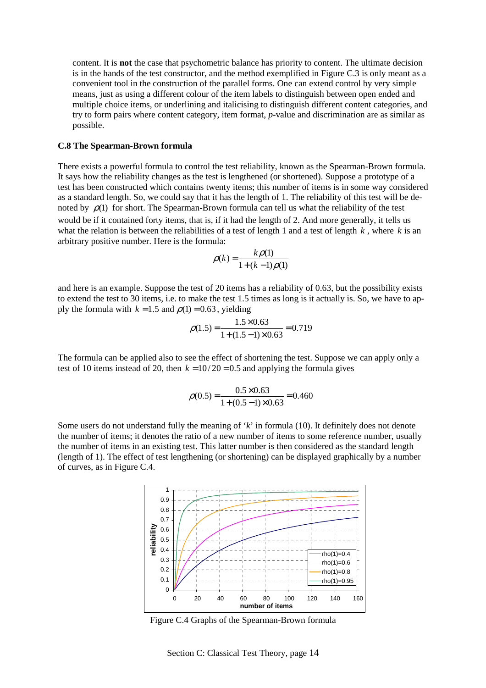content. It is **not** the case that psychometric balance has priority to content. The ultimate decision is in the hands of the test constructor, and the method exemplified in Figure C.3 is only meant as a convenient tool in the construction of the parallel forms. One can extend control by very simple means, just as using a different colour of the item labels to distinguish between open ended and multiple choice items, or underlining and italicising to distinguish different content categories, and try to form pairs where content category, item format, *p*-value and discrimination are as similar as possible.

#### **C.8 The Spearman-Brown formula**

There exists a powerful formula to control the test reliability, known as the Spearman-Brown formula. It says how the reliability changes as the test is lengthened (or shortened). Suppose a prototype of a test has been constructed which contains twenty items; this number of items is in some way considered as a standard length. So, we could say that it has the length of 1. The reliability of this test will be denoted by  $\rho(1)$  for short. The Spearman-Brown formula can tell us what the reliability of the test would be if it contained forty items, that is, if it had the length of 2. And more generally, it tells us what the relation is between the reliabilities of a test of length 1 and a test of length *k* , where *k* is an arbitrary positive number. Here is the formula:

$$
\rho(k) = \frac{k\rho(1)}{1 + (k - 1)\rho(1)}
$$

and here is an example. Suppose the test of 20 items has a reliability of 0.63, but the possibility exists to extend the test to 30 items, i.e. to make the test 1.5 times as long is it actually is. So, we have to apply the formula with  $k = 1.5$  and  $\rho(1) = 0.63$ , yielding

$$
\rho(1.5) = \frac{1.5 \times 0.63}{1 + (1.5 - 1) \times 0.63} = 0.719
$$

The formula can be applied also to see the effect of shortening the test. Suppose we can apply only a test of 10 items instead of 20, then  $k = 10/20 = 0.5$  and applying the formula gives

$$
\rho(0.5) = \frac{0.5 \times 0.63}{1 + (0.5 - 1) \times 0.63} = 0.460
$$

Some users do not understand fully the meaning of '*k*' in formula (10). It definitely does not denote the number of items; it denotes the ratio of a new number of items to some reference number, usually the number of items in an existing test. This latter number is then considered as the standard length (length of 1). The effect of test lengthening (or shortening) can be displayed graphically by a number of curves, as in Figure C.4.



Figure C.4 Graphs of the Spearman-Brown formula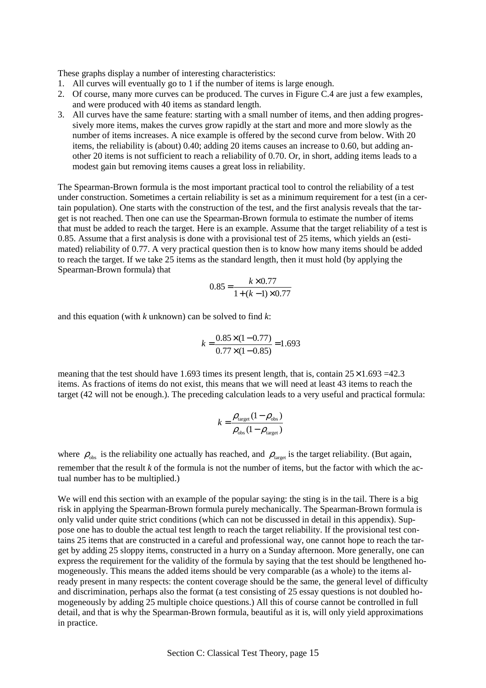These graphs display a number of interesting characteristics:

- 1. All curves will eventually go to 1 if the number of items is large enough.
- 2. Of course, many more curves can be produced. The curves in Figure C.4 are just a few examples, and were produced with 40 items as standard length.
- 3. All curves have the same feature: starting with a small number of items, and then adding progressively more items, makes the curves grow rapidly at the start and more and more slowly as the number of items increases. A nice example is offered by the second curve from below. With 20 items, the reliability is (about) 0.40; adding 20 items causes an increase to 0.60, but adding another 20 items is not sufficient to reach a reliability of 0.70. Or, in short, adding items leads to a modest gain but removing items causes a great loss in reliability.

The Spearman-Brown formula is the most important practical tool to control the reliability of a test under construction. Sometimes a certain reliability is set as a minimum requirement for a test (in a certain population). One starts with the construction of the test, and the first analysis reveals that the target is not reached. Then one can use the Spearman-Brown formula to estimate the number of items that must be added to reach the target. Here is an example. Assume that the target reliability of a test is 0.85. Assume that a first analysis is done with a provisional test of 25 items, which yields an (estimated) reliability of 0.77. A very practical question then is to know how many items should be added to reach the target. If we take 25 items as the standard length, then it must hold (by applying the Spearman-Brown formula) that

$$
0.85 = \frac{k \times 0.77}{1 + (k - 1) \times 0.77}
$$

and this equation (with *k* unknown) can be solved to find *k*:

$$
k = \frac{0.85 \times (1 - 0.77)}{0.77 \times (1 - 0.85)} = 1.693
$$

meaning that the test should have 1.693 times its present length, that is, contain  $25 \times 1.693 = 42.3$ items. As fractions of items do not exist, this means that we will need at least 43 items to reach the target (42 will not be enough.). The preceding calculation leads to a very useful and practical formula:

$$
k = \frac{\rho_{\text{target}} (1 - \rho_{\text{obs}})}{\rho_{\text{obs}} (1 - \rho_{\text{target}})}
$$

where  $\rho_{obs}$  is the reliability one actually has reached, and  $\rho_{\text{target}}$  is the target reliability. (But again, remember that the result *k* of the formula is not the number of items, but the factor with which the actual number has to be multiplied.)

We will end this section with an example of the popular saying: the sting is in the tail. There is a big risk in applying the Spearman-Brown formula purely mechanically. The Spearman-Brown formula is only valid under quite strict conditions (which can not be discussed in detail in this appendix). Suppose one has to double the actual test length to reach the target reliability. If the provisional test contains 25 items that are constructed in a careful and professional way, one cannot hope to reach the target by adding 25 sloppy items, constructed in a hurry on a Sunday afternoon. More generally, one can express the requirement for the validity of the formula by saying that the test should be lengthened homogeneously. This means the added items should be very comparable (as a whole) to the items already present in many respects: the content coverage should be the same, the general level of difficulty and discrimination, perhaps also the format (a test consisting of 25 essay questions is not doubled homogeneously by adding 25 multiple choice questions.) All this of course cannot be controlled in full detail, and that is why the Spearman-Brown formula, beautiful as it is, will only yield approximations in practice.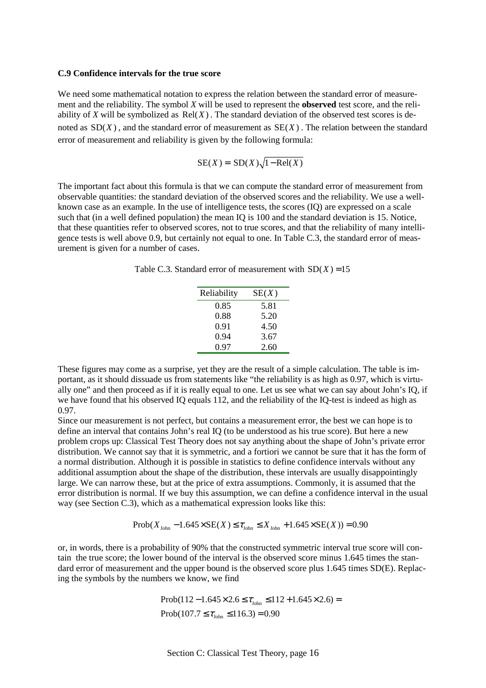#### **C.9 Confidence intervals for the true score**

We need some mathematical notation to express the relation between the standard error of measurement and the reliability. The symbol *X* will be used to represent the **observed** test score, and the reliability of *X* will be symbolized as  $Rel(X)$ . The standard deviation of the observed test scores is denoted as  $SD(X)$ , and the standard error of measurement as  $SE(X)$ . The relation between the standard error of measurement and reliability is given by the following formula:

$$
SE(X) = SD(X)\sqrt{1 - Rel(X)}
$$

The important fact about this formula is that we can compute the standard error of measurement from observable quantities: the standard deviation of the observed scores and the reliability. We use a wellknown case as an example. In the use of intelligence tests, the scores (IQ) are expressed on a scale such that (in a well defined population) the mean IQ is 100 and the standard deviation is 15. Notice, that these quantities refer to observed scores, not to true scores, and that the reliability of many intelligence tests is well above 0.9, but certainly not equal to one. In Table C.3, the standard error of measurement is given for a number of cases.

Table C.3. Standard error of measurement with  $SD(X) = 15$ 

| Reliability | SE(X) |
|-------------|-------|
| 0.85        | 5.81  |
| 0.88        | 5.20  |
| 0.91        | 4.50  |
| 0.94        | 3.67  |
| 0.97        | 2.60  |

These figures may come as a surprise, yet they are the result of a simple calculation. The table is important, as it should dissuade us from statements like "the reliability is as high as 0.97, which is virtually one" and then proceed as if it is really equal to one. Let us see what we can say about John's IQ, if we have found that his observed IQ equals 112, and the reliability of the IQ-test is indeed as high as 0.97.

Since our measurement is not perfect, but contains a measurement error, the best we can hope is to define an interval that contains John's real IQ (to be understood as his true score). But here a new problem crops up: Classical Test Theory does not say anything about the shape of John's private error distribution. We cannot say that it is symmetric, and a fortiori we cannot be sure that it has the form of a normal distribution. Although it is possible in statistics to define confidence intervals without any additional assumption about the shape of the distribution, these intervals are usually disappointingly large. We can narrow these, but at the price of extra assumptions. Commonly, it is assumed that the error distribution is normal. If we buy this assumption, we can define a confidence interval in the usual way (see Section C.3), which as a mathematical expression looks like this:

$$
Prob(X_{John} - 1.645 \times SE(X) \le \tau_{John} \le X_{John} + 1.645 \times SE(X)) = 0.90
$$

or, in words, there is a probability of 90% that the constructed symmetric interval true score will contain the true score; the lower bound of the interval is the observed score minus 1.645 times the standard error of measurement and the upper bound is the observed score plus 1.645 times SD(E). Replacing the symbols by the numbers we know, we find

> $Prob(112 - 1.645 \times 2.6 \leq \tau_{\text{John}} \leq 112 + 1.645 \times 2.6) =$ Prob(107.7  $\leq \tau_{\text{John}} \leq 116.3$ ) = 0.90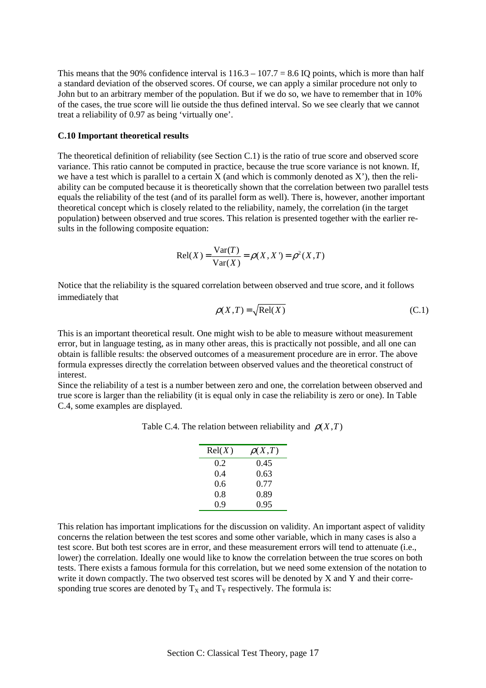This means that the 90% confidence interval is  $116.3 - 107.7 = 8.6$  IQ points, which is more than half a standard deviation of the observed scores. Of course, we can apply a similar procedure not only to John but to an arbitrary member of the population. But if we do so, we have to remember that in 10% of the cases, the true score will lie outside the thus defined interval. So we see clearly that we cannot treat a reliability of 0.97 as being 'virtually one'.

#### **C.10 Important theoretical results**

The theoretical definition of reliability (see Section C.1) is the ratio of true score and observed score variance. This ratio cannot be computed in practice, because the true score variance is not known. If, we have a test which is parallel to a certain  $X$  (and which is commonly denoted as  $X'$ ), then the reliability can be computed because it is theoretically shown that the correlation between two parallel tests equals the reliability of the test (and of its parallel form as well). There is, however, another important theoretical concept which is closely related to the reliability, namely, the correlation (in the target population) between observed and true scores. This relation is presented together with the earlier results in the following composite equation:

$$
Rel(X) = \frac{Var(T)}{Var(X)} = \rho(X, X') = \rho^{2}(X, T)
$$

Notice that the reliability is the squared correlation between observed and true score, and it follows immediately that

$$
\rho(X,T) = \sqrt{\text{Rel}(X)}\tag{C.1}
$$

This is an important theoretical result. One might wish to be able to measure without measurement error, but in language testing, as in many other areas, this is practically not possible, and all one can obtain is fallible results: the observed outcomes of a measurement procedure are in error. The above formula expresses directly the correlation between observed values and the theoretical construct of interest.

Since the reliability of a test is a number between zero and one, the correlation between observed and true score is larger than the reliability (it is equal only in case the reliability is zero or one). In Table C.4, some examples are displayed.

| Rel(X) | $\rho(X,T)$ |
|--------|-------------|
| 0.2    | 0.45        |
| 0.4    | 0.63        |
| 0.6    | 0.77        |
| 0.8    | 0.89        |
| 0.9    | 0.95        |

Table C.4. The relation between reliability and  $\rho(X, T)$ 

This relation has important implications for the discussion on validity. An important aspect of validity concerns the relation between the test scores and some other variable, which in many cases is also a test score. But both test scores are in error, and these measurement errors will tend to attenuate (i.e., lower) the correlation. Ideally one would like to know the correlation between the true scores on both tests. There exists a famous formula for this correlation, but we need some extension of the notation to write it down compactly. The two observed test scores will be denoted by X and Y and their corresponding true scores are denoted by  $T_X$  and  $T_Y$  respectively. The formula is: